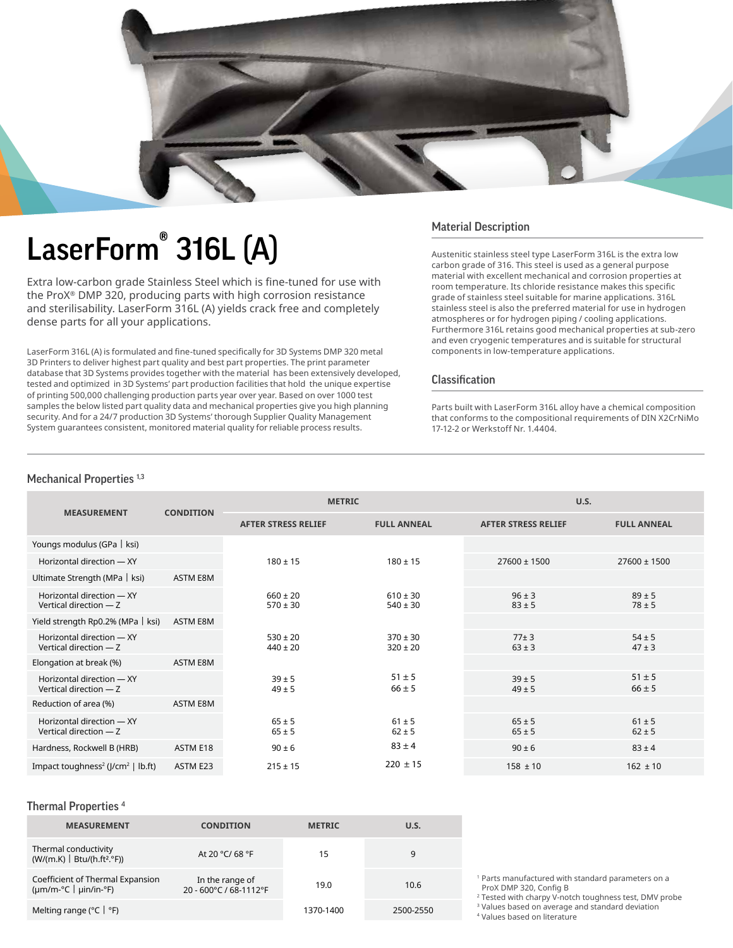

# LaserForm® 316L (A)

Extra low-carbon grade Stainless Steel which is fine-tuned for use with the ProX® DMP 320, producing parts with high corrosion resistance and sterilisability. LaserForm 316L (A) yields crack free and completely dense parts for all your applications.

LaserForm 316L (A) is formulated and fine-tuned specifically for 3D Systems DMP 320 metal 3D Printers to deliver highest part quality and best part properties. The print parameter database that 3D Systems provides together with the material has been extensively developed, tested and optimized in 3D Systems' part production facilities that hold the unique expertise of printing 500,000 challenging production parts year over year. Based on over 1000 test samples the below listed part quality data and mechanical properties give you high planning security. And for a 24/7 production 3D Systems' thorough Supplier Quality Management System guarantees consistent, monitored material quality for reliable process results.

## Material Description

Austenitic stainless steel type LaserForm 316L is the extra low carbon grade of 316. This steel is used as a general purpose material with excellent mechanical and corrosion properties at room temperature. Its chloride resistance makes this specific grade of stainless steel suitable for marine applications. 316L stainless steel is also the preferred material for use in hydrogen atmospheres or for hydrogen piping / cooling applications. Furthermore 316L retains good mechanical properties at sub-zero and even cryogenic temperatures and is suitable for structural components in low-temperature applications.

### Classification

Parts built with LaserForm 316L alloy have a chemical composition that conforms to the compositional requirements of DIN X2CrNiMo 17-12-2 or Werkstoff Nr. 1.4404.

#### Mechanical Properties<sup>1,3</sup>

|                                                     | <b>CONDITION</b> | <b>METRIC</b>                |                              | U.S.                       |                          |
|-----------------------------------------------------|------------------|------------------------------|------------------------------|----------------------------|--------------------------|
| <b>MEASUREMENT</b>                                  |                  | <b>AFTER STRESS RELIEF</b>   | <b>FULL ANNEAL</b>           | <b>AFTER STRESS RELIEF</b> | <b>FULL ANNEAL</b>       |
| Youngs modulus (GPa   ksi)                          |                  |                              |                              |                            |                          |
| Horizontal direction - XY                           |                  | $180 \pm 15$                 | $180 \pm 15$                 | $27600 \pm 1500$           | $27600 \pm 1500$         |
| Ultimate Strength (MPa   ksi)                       | ASTM E8M         |                              |                              |                            |                          |
| Horizontal direction - XY<br>Vertical direction - Z |                  | $660 \pm 20$<br>$570 \pm 30$ | $610 \pm 30$<br>$540 \pm 30$ | $96 \pm 3$<br>$83 \pm 5$   | $89 \pm 5$<br>$78 \pm 5$ |
| Yield strength Rp0.2% (MPa   ksi)                   | <b>ASTM E8M</b>  |                              |                              |                            |                          |
| Horizontal direction - XY<br>Vertical direction - Z |                  | $530 \pm 20$<br>$440 \pm 20$ | $370 \pm 30$<br>$320 \pm 20$ | $77 \pm 3$<br>$63 \pm 3$   | $54 \pm 5$<br>$47 \pm 3$ |
| Elongation at break (%)                             | <b>ASTM E8M</b>  |                              |                              |                            |                          |
| Horizontal direction - XY<br>Vertical direction - Z |                  | $39 \pm 5$<br>$49 \pm 5$     | $51 \pm 5$<br>$66 \pm 5$     | $39 \pm 5$<br>$49 \pm 5$   | $51 \pm 5$<br>$66 \pm 5$ |
| Reduction of area (%)                               | ASTM E8M         |                              |                              |                            |                          |
| Horizontal direction - XY<br>Vertical direction - Z |                  | $65 \pm 5$<br>$65 \pm 5$     | $61 \pm 5$<br>$62 \pm 5$     | $65 \pm 5$<br>$65 \pm 5$   | $61 \pm 5$<br>$62 \pm 5$ |
| Hardness, Rockwell B (HRB)                          | ASTM E18         | $90 \pm 6$                   | $83 \pm 4$                   | $90 \pm 6$                 | $83 \pm 4$               |
| Impact toughness <sup>2</sup> ( $J/cm2$   lb.ft)    | ASTM E23         | $215 \pm 15$                 | $220 \pm 15$                 | $158 \pm 10$               | $162 \pm 10$             |

#### Thermal Properties <sup>4</sup>

| <b>MEASUREMENT</b>                                                   | <b>CONDITION</b>                          | <b>METRIC</b> | U.S.      |
|----------------------------------------------------------------------|-------------------------------------------|---------------|-----------|
| Thermal conductivity<br>(W/(m.K)   Btu/(h.ft <sup>2</sup> .°F))      | At 20 °C/ 68 °F                           | 15            | 9         |
| Coefficient of Thermal Expansion<br>$(\mu m/m$ -°C   $\mu$ in/in-°F) | In the range of<br>20 - 600°C / 68-1112°F | 19.0          | 10.6      |
| Melting range ( $°C$   $°F$ )                                        |                                           | 1370-1400     | 2500-2550 |

1 Parts manufactured with standard parameters on a ProX DMP 320, Config B

2 Tested with charpy V-notch toughness test, DMV probe

3 Values based on average and standard deviation

4 Values based on literature